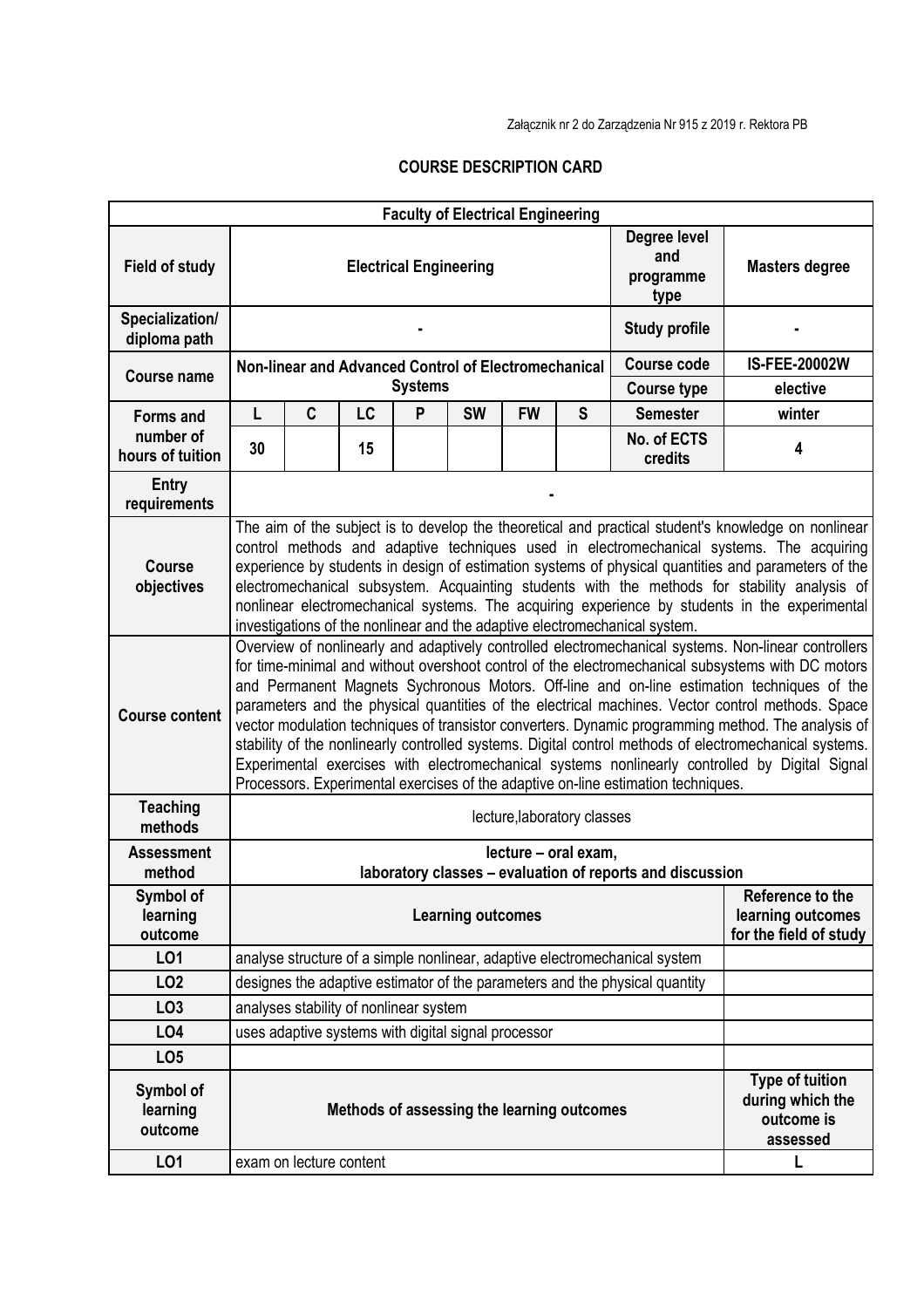Załącznik nr 2 do Zarządzenia Nr 915 z 2019 r. Rektora PB

## **COURSE DESCRIPTION CARD**

|                                                   |                                                                                                                                                                                                                                                                                                                                                                                                                                                                                                                                                                                                                                                                                                                                                                                                                   |                         |    | <b>Faculty of Electrical Engineering</b>             |                    |                                                                 |   |                                                           |                                                                      |
|---------------------------------------------------|-------------------------------------------------------------------------------------------------------------------------------------------------------------------------------------------------------------------------------------------------------------------------------------------------------------------------------------------------------------------------------------------------------------------------------------------------------------------------------------------------------------------------------------------------------------------------------------------------------------------------------------------------------------------------------------------------------------------------------------------------------------------------------------------------------------------|-------------------------|----|------------------------------------------------------|--------------------|-----------------------------------------------------------------|---|-----------------------------------------------------------|----------------------------------------------------------------------|
| <b>Field of study</b>                             | Degree level<br>and<br><b>Electrical Engineering</b><br>programme<br>type                                                                                                                                                                                                                                                                                                                                                                                                                                                                                                                                                                                                                                                                                                                                         |                         |    |                                                      |                    |                                                                 |   | <b>Masters degree</b>                                     |                                                                      |
| Specialization/<br>diploma path                   |                                                                                                                                                                                                                                                                                                                                                                                                                                                                                                                                                                                                                                                                                                                                                                                                                   | <b>Study profile</b>    |    |                                                      |                    |                                                                 |   |                                                           |                                                                      |
| Course name                                       |                                                                                                                                                                                                                                                                                                                                                                                                                                                                                                                                                                                                                                                                                                                                                                                                                   |                         |    | Non-linear and Advanced Control of Electromechanical | <b>Course code</b> | <b>IS-FEE-20002W</b>                                            |   |                                                           |                                                                      |
|                                                   |                                                                                                                                                                                                                                                                                                                                                                                                                                                                                                                                                                                                                                                                                                                                                                                                                   |                         |    | <b>Systems</b>                                       | <b>Course type</b> | elective                                                        |   |                                                           |                                                                      |
| <b>Forms and</b><br>number of<br>hours of tuition | L                                                                                                                                                                                                                                                                                                                                                                                                                                                                                                                                                                                                                                                                                                                                                                                                                 | C                       | LC | P                                                    | <b>SW</b>          | <b>FW</b>                                                       | S | <b>Semester</b>                                           | winter                                                               |
|                                                   | 30                                                                                                                                                                                                                                                                                                                                                                                                                                                                                                                                                                                                                                                                                                                                                                                                                |                         | 15 |                                                      |                    |                                                                 |   | No. of ECTS<br>credits                                    | 4                                                                    |
| <b>Entry</b><br>requirements                      |                                                                                                                                                                                                                                                                                                                                                                                                                                                                                                                                                                                                                                                                                                                                                                                                                   |                         |    |                                                      |                    |                                                                 |   |                                                           |                                                                      |
| <b>Course</b><br>objectives                       | The aim of the subject is to develop the theoretical and practical student's knowledge on nonlinear<br>control methods and adaptive techniques used in electromechanical systems. The acquiring<br>experience by students in design of estimation systems of physical quantities and parameters of the<br>electromechanical subsystem. Acquainting students with the methods for stability analysis of<br>nonlinear electromechanical systems. The acquiring experience by students in the experimental<br>investigations of the nonlinear and the adaptive electromechanical system.                                                                                                                                                                                                                             |                         |    |                                                      |                    |                                                                 |   |                                                           |                                                                      |
| <b>Course content</b>                             | Overview of nonlinearly and adaptively controlled electromechanical systems. Non-linear controllers<br>for time-minimal and without overshoot control of the electromechanical subsystems with DC motors<br>and Permanent Magnets Sychronous Motors. Off-line and on-line estimation techniques of the<br>parameters and the physical quantities of the electrical machines. Vector control methods. Space<br>vector modulation techniques of transistor converters. Dynamic programming method. The analysis of<br>stability of the nonlinearly controlled systems. Digital control methods of electromechanical systems.<br>Experimental exercises with electromechanical systems nonlinearly controlled by Digital Signal<br>Processors. Experimental exercises of the adaptive on-line estimation techniques. |                         |    |                                                      |                    |                                                                 |   |                                                           |                                                                      |
| <b>Teaching</b><br>methods                        | lecture, laboratory classes                                                                                                                                                                                                                                                                                                                                                                                                                                                                                                                                                                                                                                                                                                                                                                                       |                         |    |                                                      |                    |                                                                 |   |                                                           |                                                                      |
| <b>Assessment</b>                                 | lecture - oral exam,                                                                                                                                                                                                                                                                                                                                                                                                                                                                                                                                                                                                                                                                                                                                                                                              |                         |    |                                                      |                    |                                                                 |   |                                                           |                                                                      |
| method                                            |                                                                                                                                                                                                                                                                                                                                                                                                                                                                                                                                                                                                                                                                                                                                                                                                                   |                         |    |                                                      |                    |                                                                 |   | laboratory classes - evaluation of reports and discussion |                                                                      |
| Symbol of<br>learning<br>outcome                  | <b>Learning outcomes</b>                                                                                                                                                                                                                                                                                                                                                                                                                                                                                                                                                                                                                                                                                                                                                                                          |                         |    |                                                      |                    | Reference to the<br>learning outcomes<br>for the field of study |   |                                                           |                                                                      |
| LO1                                               | analyse structure of a simple nonlinear, adaptive electromechanical system                                                                                                                                                                                                                                                                                                                                                                                                                                                                                                                                                                                                                                                                                                                                        |                         |    |                                                      |                    |                                                                 |   |                                                           |                                                                      |
| LO <sub>2</sub>                                   | designes the adaptive estimator of the parameters and the physical quantity                                                                                                                                                                                                                                                                                                                                                                                                                                                                                                                                                                                                                                                                                                                                       |                         |    |                                                      |                    |                                                                 |   |                                                           |                                                                      |
| LO <sub>3</sub>                                   | analyses stability of nonlinear system                                                                                                                                                                                                                                                                                                                                                                                                                                                                                                                                                                                                                                                                                                                                                                            |                         |    |                                                      |                    |                                                                 |   |                                                           |                                                                      |
| LO <sub>4</sub>                                   | uses adaptive systems with digital signal processor                                                                                                                                                                                                                                                                                                                                                                                                                                                                                                                                                                                                                                                                                                                                                               |                         |    |                                                      |                    |                                                                 |   |                                                           |                                                                      |
| LO <sub>5</sub>                                   |                                                                                                                                                                                                                                                                                                                                                                                                                                                                                                                                                                                                                                                                                                                                                                                                                   |                         |    |                                                      |                    |                                                                 |   |                                                           |                                                                      |
| Symbol of<br>learning<br>outcome                  |                                                                                                                                                                                                                                                                                                                                                                                                                                                                                                                                                                                                                                                                                                                                                                                                                   |                         |    | Methods of assessing the learning outcomes           |                    |                                                                 |   |                                                           | <b>Type of tuition</b><br>during which the<br>outcome is<br>assessed |
| LO1                                               |                                                                                                                                                                                                                                                                                                                                                                                                                                                                                                                                                                                                                                                                                                                                                                                                                   | exam on lecture content |    |                                                      |                    |                                                                 |   |                                                           | L                                                                    |